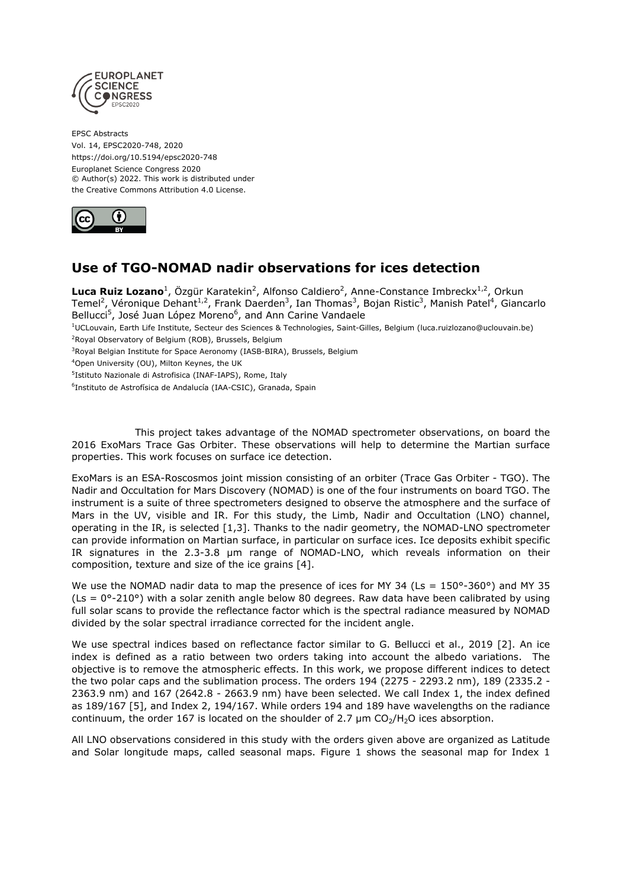

EPSC Abstracts Vol. 14, EPSC2020-748, 2020 https://doi.org/10.5194/epsc2020-748 Europlanet Science Congress 2020 © Author(s) 2022. This work is distributed under the Creative Commons Attribution 4.0 License.



## **Use of TGO-NOMAD nadir observations for ices detection**

Luca Ruiz Lozano<sup>1</sup>, Özgür Karatekin<sup>2</sup>, Alfonso Caldiero<sup>2</sup>, Anne-Constance Imbreckx<sup>1,2</sup>, Orkun Temel<sup>2</sup>, Véronique Dehant<sup>1,2</sup>, Frank Daerden<sup>3</sup>, Ian Thomas<sup>3</sup>, Bojan Ristic<sup>3</sup>, Manish Patel<sup>4</sup>, Giancarlo Bellucci<sup>5</sup>, José Juan López Moreno<sup>6</sup>, and Ann Carine Vandaele

<sup>1</sup>UCLouvain, Earth Life Institute, Secteur des Sciences & Technologies, Saint-Gilles, Belgium (luca.ruizlozano@uclouvain.be) <sup>2</sup>Royal Observatory of Belgium (ROB), Brussels, Belgium

<sup>3</sup>Royal Belgian Institute for Space Aeronomy (IASB-BIRA), Brussels, Belgium

<sup>4</sup>Open University (OU), Milton Keynes, the UK

5 Istituto Nazionale di Astrofisica (INAF-IAPS), Rome, Italy

<sup>6</sup>Instituto de Astrofísica de Andalucía (IAA-CSIC), Granada, Spain

This project takes advantage of the NOMAD spectrometer observations, on board the 2016 ExoMars Trace Gas Orbiter. These observations will help to determine the Martian surface properties. This work focuses on surface ice detection.

ExoMars is an ESA-Roscosmos joint mission consisting of an orbiter (Trace Gas Orbiter - TGO). The Nadir and Occultation for Mars Discovery (NOMAD) is one of the four instruments on board TGO. The instrument is a suite of three spectrometers designed to observe the atmosphere and the surface of Mars in the UV, visible and IR. For this study, the Limb, Nadir and Occultation (LNO) channel, operating in the IR, is selected [1,3]. Thanks to the nadir geometry, the NOMAD-LNO spectrometer can provide information on Martian surface, in particular on surface ices. Ice deposits exhibit specific IR signatures in the 2.3-3.8 μm range of NOMAD-LNO, which reveals information on their composition, texture and size of the ice grains [4].

We use the NOMAD nadir data to map the presence of ices for MY 34 (Ls =  $150^{\circ}$ -360°) and MY 35  $(Ls = 0^{\circ} - 210^{\circ})$  with a solar zenith angle below 80 degrees. Raw data have been calibrated by using full solar scans to provide the reflectance factor which is the spectral radiance measured by NOMAD divided by the solar spectral irradiance corrected for the incident angle.

We use spectral indices based on reflectance factor similar to G. Bellucci et al., 2019 [2]. An ice index is defined as a ratio between two orders taking into account the albedo variations. The objective is to remove the atmospheric effects. In this work, we propose different indices to detect the two polar caps and the sublimation process. The orders 194 (2275 - 2293.2 nm), 189 (2335.2 - 2363.9 nm) and 167 (2642.8 - 2663.9 nm) have been selected. We call Index 1, the index defined as 189/167 [5], and Index 2, 194/167. While orders 194 and 189 have wavelengths on the radiance continuum, the order 167 is located on the shoulder of 2.7  $\mu$ m CO<sub>2</sub>/H<sub>2</sub>O ices absorption.

All LNO observations considered in this study with the orders given above are organized as Latitude and Solar longitude maps, called seasonal maps. Figure 1 shows the seasonal map for Index 1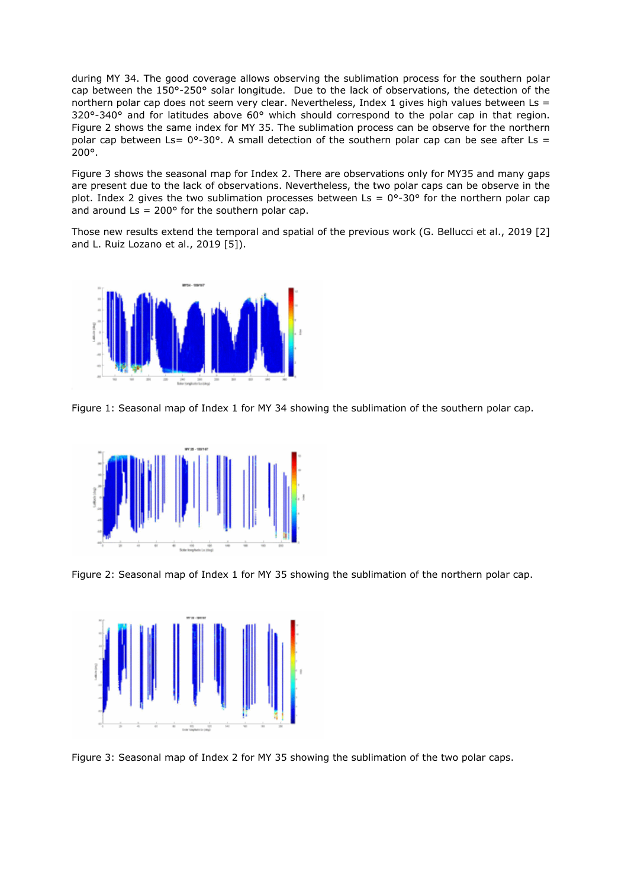during MY 34. The good coverage allows observing the sublimation process for the southern polar cap between the 150°-250° solar longitude. Due to the lack of observations, the detection of the northern polar cap does not seem very clear. Nevertheless, Index 1 gives high values between Ls =  $320^{\circ}$ -340° and for latitudes above 60° which should correspond to the polar cap in that region. Figure 2 shows the same index for MY 35. The sublimation process can be observe for the northern polar cap between Ls=  $0^{\circ}$ -30°. A small detection of the southern polar cap can be see after Ls = 200°.

Figure 3 shows the seasonal map for Index 2. There are observations only for MY35 and many gaps are present due to the lack of observations. Nevertheless, the two polar caps can be observe in the plot. Index 2 gives the two sublimation processes between Ls =  $0^{\circ}$ -30° for the northern polar cap and around  $\text{Ls} = 200^{\circ}$  for the southern polar cap.

Those new results extend the temporal and spatial of the previous work (G. Bellucci et al., 2019 [2] and L. Ruiz Lozano et al., 2019 [5]).



Figure 1: Seasonal map of Index 1 for MY 34 showing the sublimation of the southern polar cap.



Figure 2: Seasonal map of Index 1 for MY 35 showing the sublimation of the northern polar cap.



Figure 3: Seasonal map of Index 2 for MY 35 showing the sublimation of the two polar caps.